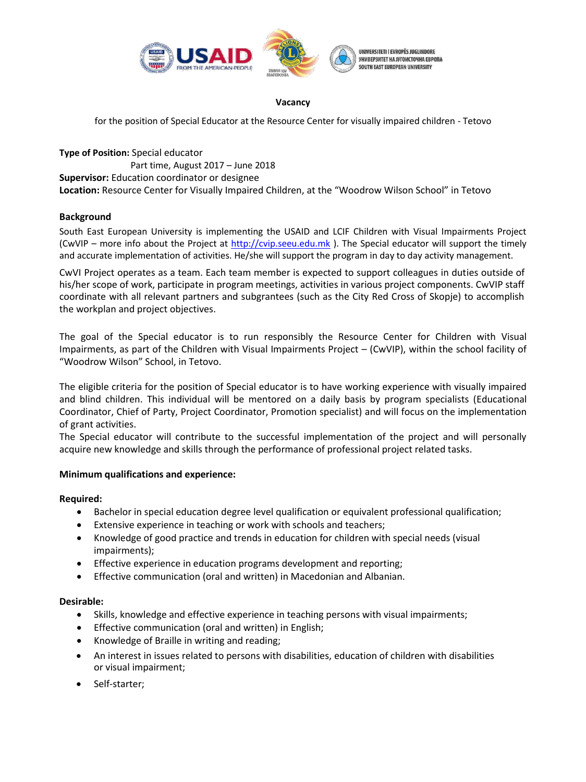

### **Vacancy**

for the position of Special Educator at the Resource Center for visually impaired children - Tetovo

**Type of Position:** Special educator Part time, August 2017 – June 2018 **Supervisor:** Education coordinator or designee **Location:** Resource Center for Visually Impaired Children, at the "Woodrow Wilson School" in Tetovo

# **Background**

South East European University is implementing the USAID and LCIF Children with Visual Impairments Project (CwVIP – more info about the Project at http://cvip.seeu.edu.mk ). The Special educator will support the timely and accurate implementation of activities. He/she will support the program in day to day activity management.

CwVI Project operates as a team. Each team member is expected to support colleagues in duties outside of his/her scope of work, participate in program meetings, activities in various project components. CwVIP staff coordinate with all relevant partners and subgrantees (such as the City Red Cross of Skopje) to accomplish the workplan and project objectives.

The goal of the Special educator is to run responsibly the Resource Center for Children with Visual Impairments, as part of the Children with Visual Impairments Project – (CwVIP), within the school facility of "Woodrow Wilson" School, in Tetovo.

The eligible criteria for the position of Special educator is to have working experience with visually impaired and blind children. This individual will be mentored on a daily basis by program specialists (Educational Coordinator, Chief of Party, Project Coordinator, Promotion specialist) and will focus on the implementation of grant activities.

The Special educator will contribute to the successful implementation of the project and will personally acquire new knowledge and skills through the performance of professional project related tasks.

# **Minimum qualifications and experience:**

# **Required:**

- Bachelor in special education degree level qualification or equivalent professional qualification;
- Extensive experience in teaching or work with schools and teachers;
- Knowledge of good practice and trends in education for children with special needs (visual impairments);
- Effective experience in education programs development and reporting;
- Effective communication (oral and written) in Macedonian and Albanian.

# **Desirable:**

- Skills, knowledge and effective experience in teaching persons with visual impairments;
- Effective communication (oral and written) in English;
- Knowledge of Braille in writing and reading;
- An interest in issues related to persons with disabilities, education of children with disabilities or visual impairment;
- Self-starter;